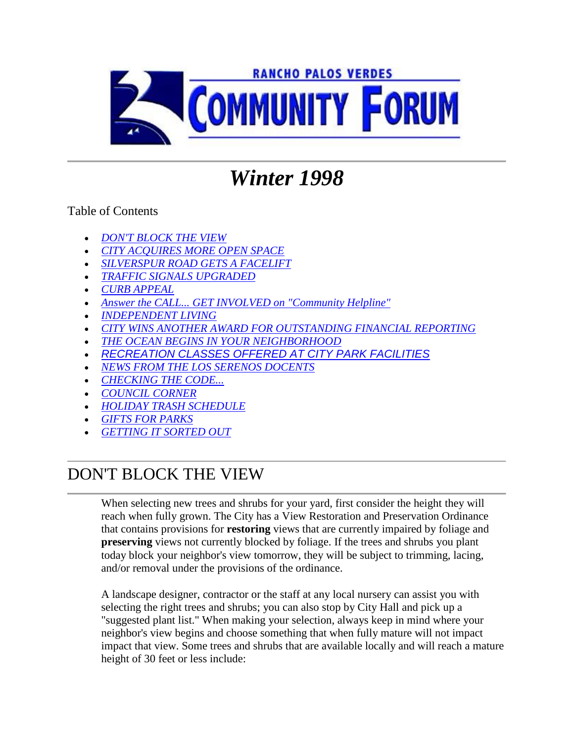

# *Winter 1998*

#### Table of Contents

- *DON'T BLOCK THE VIEW*
- *CITY ACQUIRES MORE OPEN SPACE*
- *SILVERSPUR ROAD GETS A FACELIFT*
- *TRAFFIC SIGNALS UPGRADED*
- *CURB APPEAL*
- *Answer the CALL... GET INVOLVED on "Community Helpline"*
- *INDEPENDENT LIVING*
- *CITY WINS ANOTHER AWARD FOR OUTSTANDING FINANCIAL REPORTING*
- *THE OCEAN BEGINS IN YOUR NEIGHBORHOOD*
- *RECREATION CLASSES OFFERED AT CITY PARK FACILITIES*
- *NEWS FROM THE LOS SERENOS DOCENTS*
- *CHECKING THE CODE...*
- *COUNCIL CORNER*
- *HOLIDAY TRASH SCHEDULE*
- *GIFTS FOR PARKS*
- *GETTING IT SORTED OUT*

### DON'T BLOCK THE VIEW

When selecting new trees and shrubs for your yard, first consider the height they will reach when fully grown. The City has a View Restoration and Preservation Ordinance that contains provisions for **restoring** views that are currently impaired by foliage and **preserving** views not currently blocked by foliage. If the trees and shrubs you plant today block your neighbor's view tomorrow, they will be subject to trimming, lacing, and/or removal under the provisions of the ordinance.

A landscape designer, contractor or the staff at any local nursery can assist you with selecting the right trees and shrubs; you can also stop by City Hall and pick up a "suggested plant list." When making your selection, always keep in mind where your neighbor's view begins and choose something that when fully mature will not impact impact that view. Some trees and shrubs that are available locally and will reach a mature height of 30 feet or less include: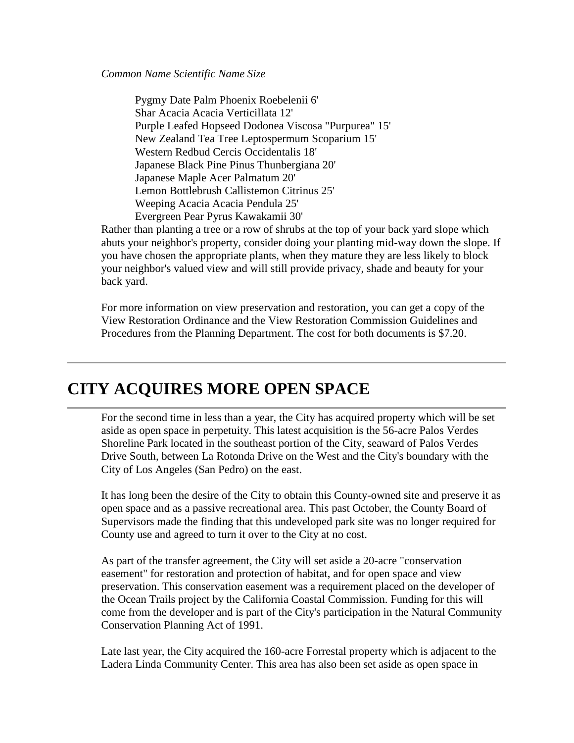*Common Name Scientific Name Size*

Pygmy Date Palm Phoenix Roebelenii 6' Shar Acacia Acacia Verticillata 12' Purple Leafed Hopseed Dodonea Viscosa "Purpurea" 15' New Zealand Tea Tree Leptospermum Scoparium 15' Western Redbud Cercis Occidentalis 18' Japanese Black Pine Pinus Thunbergiana 20' Japanese Maple Acer Palmatum 20' Lemon Bottlebrush Callistemon Citrinus 25' Weeping Acacia Acacia Pendula 25' Evergreen Pear Pyrus Kawakamii 30'

Rather than planting a tree or a row of shrubs at the top of your back yard slope which abuts your neighbor's property, consider doing your planting mid-way down the slope. If you have chosen the appropriate plants, when they mature they are less likely to block your neighbor's valued view and will still provide privacy, shade and beauty for your back yard.

For more information on view preservation and restoration, you can get a copy of the View Restoration Ordinance and the View Restoration Commission Guidelines and Procedures from the Planning Department. The cost for both documents is \$7.20.

### **CITY ACQUIRES MORE OPEN SPACE**

For the second time in less than a year, the City has acquired property which will be set aside as open space in perpetuity. This latest acquisition is the 56-acre Palos Verdes Shoreline Park located in the southeast portion of the City, seaward of Palos Verdes Drive South, between La Rotonda Drive on the West and the City's boundary with the City of Los Angeles (San Pedro) on the east.

It has long been the desire of the City to obtain this County-owned site and preserve it as open space and as a passive recreational area. This past October, the County Board of Supervisors made the finding that this undeveloped park site was no longer required for County use and agreed to turn it over to the City at no cost.

As part of the transfer agreement, the City will set aside a 20-acre "conservation easement" for restoration and protection of habitat, and for open space and view preservation. This conservation easement was a requirement placed on the developer of the Ocean Trails project by the California Coastal Commission. Funding for this will come from the developer and is part of the City's participation in the Natural Community Conservation Planning Act of 1991.

Late last year, the City acquired the 160-acre Forrestal property which is adjacent to the Ladera Linda Community Center. This area has also been set aside as open space in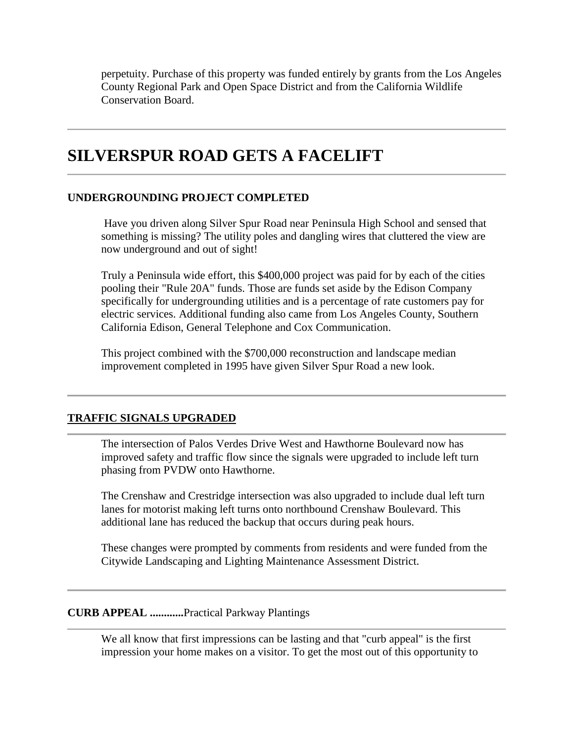perpetuity. Purchase of this property was funded entirely by grants from the Los Angeles County Regional Park and Open Space District and from the California Wildlife Conservation Board.

### **SILVERSPUR ROAD GETS A FACELIFT**

#### **UNDERGROUNDING PROJECT COMPLETED**

Have you driven along Silver Spur Road near Peninsula High School and sensed that something is missing? The utility poles and dangling wires that cluttered the view are now underground and out of sight!

Truly a Peninsula wide effort, this \$400,000 project was paid for by each of the cities pooling their "Rule 20A" funds. Those are funds set aside by the Edison Company specifically for undergrounding utilities and is a percentage of rate customers pay for electric services. Additional funding also came from Los Angeles County, Southern California Edison, General Telephone and Cox Communication.

This project combined with the \$700,000 reconstruction and landscape median improvement completed in 1995 have given Silver Spur Road a new look.

#### **TRAFFIC SIGNALS UPGRADED**

The intersection of Palos Verdes Drive West and Hawthorne Boulevard now has improved safety and traffic flow since the signals were upgraded to include left turn phasing from PVDW onto Hawthorne.

The Crenshaw and Crestridge intersection was also upgraded to include dual left turn lanes for motorist making left turns onto northbound Crenshaw Boulevard. This additional lane has reduced the backup that occurs during peak hours.

These changes were prompted by comments from residents and were funded from the Citywide Landscaping and Lighting Maintenance Assessment District.

#### **CURB APPEAL ............**Practical Parkway Plantings

We all know that first impressions can be lasting and that "curb appeal" is the first impression your home makes on a visitor. To get the most out of this opportunity to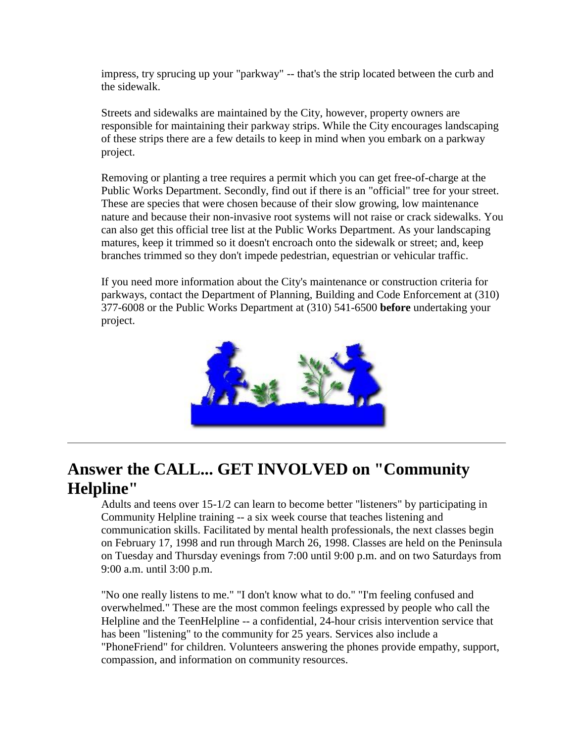impress, try sprucing up your "parkway" -- that's the strip located between the curb and the sidewalk.

Streets and sidewalks are maintained by the City, however, property owners are responsible for maintaining their parkway strips. While the City encourages landscaping of these strips there are a few details to keep in mind when you embark on a parkway project.

Removing or planting a tree requires a permit which you can get free-of-charge at the Public Works Department. Secondly, find out if there is an "official" tree for your street. These are species that were chosen because of their slow growing, low maintenance nature and because their non-invasive root systems will not raise or crack sidewalks. You can also get this official tree list at the Public Works Department. As your landscaping matures, keep it trimmed so it doesn't encroach onto the sidewalk or street; and, keep branches trimmed so they don't impede pedestrian, equestrian or vehicular traffic.

If you need more information about the City's maintenance or construction criteria for parkways, contact the Department of Planning, Building and Code Enforcement at (310) 377-6008 or the Public Works Department at (310) 541-6500 **before** undertaking your project.



### **Answer the CALL... GET INVOLVED on "Community Helpline"**

Adults and teens over 15-1/2 can learn to become better "listeners" by participating in Community Helpline training -- a six week course that teaches listening and communication skills. Facilitated by mental health professionals, the next classes begin on February 17, 1998 and run through March 26, 1998. Classes are held on the Peninsula on Tuesday and Thursday evenings from 7:00 until 9:00 p.m. and on two Saturdays from 9:00 a.m. until 3:00 p.m.

"No one really listens to me." "I don't know what to do." "I'm feeling confused and overwhelmed." These are the most common feelings expressed by people who call the Helpline and the TeenHelpline -- a confidential, 24-hour crisis intervention service that has been "listening" to the community for 25 years. Services also include a "PhoneFriend" for children. Volunteers answering the phones provide empathy, support, compassion, and information on community resources.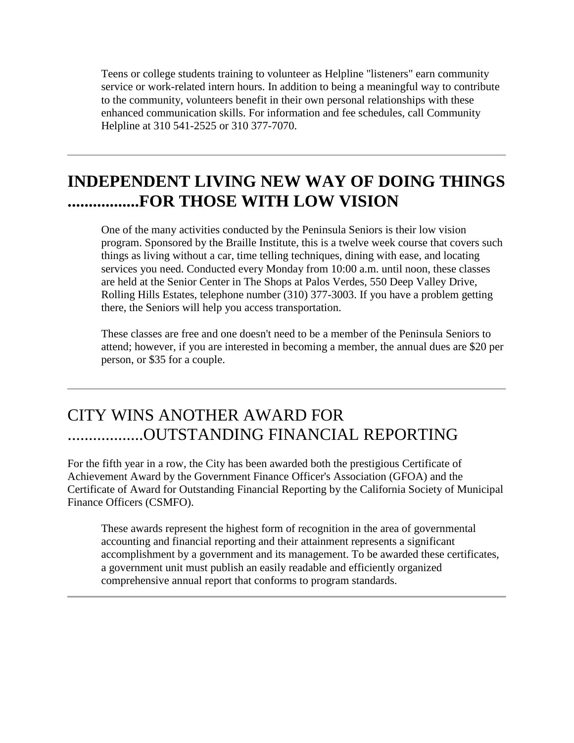Teens or college students training to volunteer as Helpline "listeners" earn community service or work-related intern hours. In addition to being a meaningful way to contribute to the community, volunteers benefit in their own personal relationships with these enhanced communication skills. For information and fee schedules, call Community Helpline at 310 541-2525 or 310 377-7070.

### **INDEPENDENT LIVING NEW WAY OF DOING THINGS .................FOR THOSE WITH LOW VISION**

One of the many activities conducted by the Peninsula Seniors is their low vision program. Sponsored by the Braille Institute, this is a twelve week course that covers such things as living without a car, time telling techniques, dining with ease, and locating services you need. Conducted every Monday from 10:00 a.m. until noon, these classes are held at the Senior Center in The Shops at Palos Verdes, 550 Deep Valley Drive, Rolling Hills Estates, telephone number (310) 377-3003. If you have a problem getting there, the Seniors will help you access transportation.

These classes are free and one doesn't need to be a member of the Peninsula Seniors to attend; however, if you are interested in becoming a member, the annual dues are \$20 per person, or \$35 for a couple.

### CITY WINS ANOTHER AWARD FOR ..................OUTSTANDING FINANCIAL REPORTING

For the fifth year in a row, the City has been awarded both the prestigious Certificate of Achievement Award by the Government Finance Officer's Association (GFOA) and the Certificate of Award for Outstanding Financial Reporting by the California Society of Municipal Finance Officers (CSMFO).

These awards represent the highest form of recognition in the area of governmental accounting and financial reporting and their attainment represents a significant accomplishment by a government and its management. To be awarded these certificates, a government unit must publish an easily readable and efficiently organized comprehensive annual report that conforms to program standards.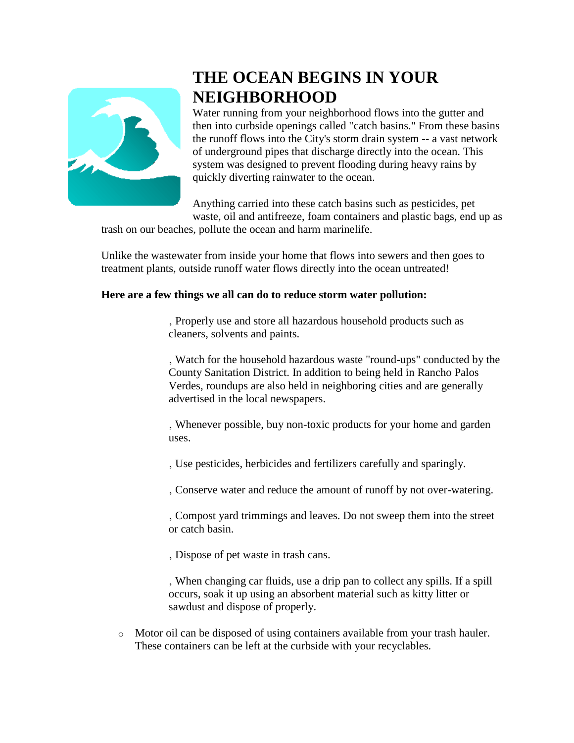

## **THE OCEAN BEGINS IN YOUR NEIGHBORHOOD**

Water running from your neighborhood flows into the gutter and then into curbside openings called "catch basins." From these basins the runoff flows into the City's storm drain system -- a vast network of underground pipes that discharge directly into the ocean. This system was designed to prevent flooding during heavy rains by quickly diverting rainwater to the ocean.

Anything carried into these catch basins such as pesticides, pet waste, oil and antifreeze, foam containers and plastic bags, end up as

trash on our beaches, pollute the ocean and harm marinelife.

Unlike the wastewater from inside your home that flows into sewers and then goes to treatment plants, outside runoff water flows directly into the ocean untreated!

#### **Here are a few things we all can do to reduce storm water pollution:**

' Properly use and store all hazardous household products such as cleaners, solvents and paints.

' Watch for the household hazardous waste "round-ups" conducted by the County Sanitation District. In addition to being held in Rancho Palos Verdes, roundups are also held in neighboring cities and are generally advertised in the local newspapers.

' Whenever possible, buy non-toxic products for your home and garden uses.

' Use pesticides, herbicides and fertilizers carefully and sparingly.

' Conserve water and reduce the amount of runoff by not over-watering.

' Compost yard trimmings and leaves. Do not sweep them into the street or catch basin.

' Dispose of pet waste in trash cans.

, When changing car fluids, use a drip pan to collect any spills. If a spill occurs, soak it up using an absorbent material such as kitty litter or sawdust and dispose of properly.

o Motor oil can be disposed of using containers available from your trash hauler. These containers can be left at the curbside with your recyclables.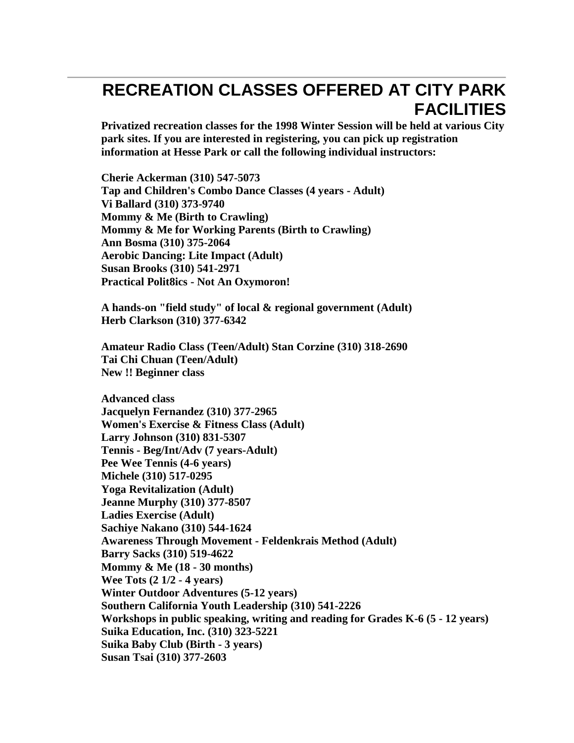# **RECREATION CLASSES OFFERED AT CITY PARK FACILITIES**

**Privatized recreation classes for the 1998 Winter Session will be held at various City park sites. If you are interested in registering, you can pick up registration information at Hesse Park or call the following individual instructors:**

**Cherie Ackerman (310) 547-5073 Tap and Children's Combo Dance Classes (4 years - Adult) Vi Ballard (310) 373-9740 Mommy & Me (Birth to Crawling) Mommy & Me for Working Parents (Birth to Crawling) Ann Bosma (310) 375-2064 Aerobic Dancing: Lite Impact (Adult) Susan Brooks (310) 541-2971 Practical Polit8ics - Not An Oxymoron!**

**A hands-on "field study" of local & regional government (Adult) Herb Clarkson (310) 377-6342**

**Amateur Radio Class (Teen/Adult) Stan Corzine (310) 318-2690 Tai Chi Chuan (Teen/Adult) New !! Beginner class**

**Advanced class Jacquelyn Fernandez (310) 377-2965 Women's Exercise & Fitness Class (Adult) Larry Johnson (310) 831-5307 Tennis - Beg/Int/Adv (7 years-Adult) Pee Wee Tennis (4-6 years) Michele (310) 517-0295 Yoga Revitalization (Adult) Jeanne Murphy (310) 377-8507 Ladies Exercise (Adult) Sachiye Nakano (310) 544-1624 Awareness Through Movement - Feldenkrais Method (Adult) Barry Sacks (310) 519-4622 Mommy & Me (18 - 30 months) Wee Tots (2 1/2 - 4 years) Winter Outdoor Adventures (5-12 years) Southern California Youth Leadership (310) 541-2226 Workshops in public speaking, writing and reading for Grades K-6 (5 - 12 years) Suika Education, Inc. (310) 323-5221 Suika Baby Club (Birth - 3 years) Susan Tsai (310) 377-2603**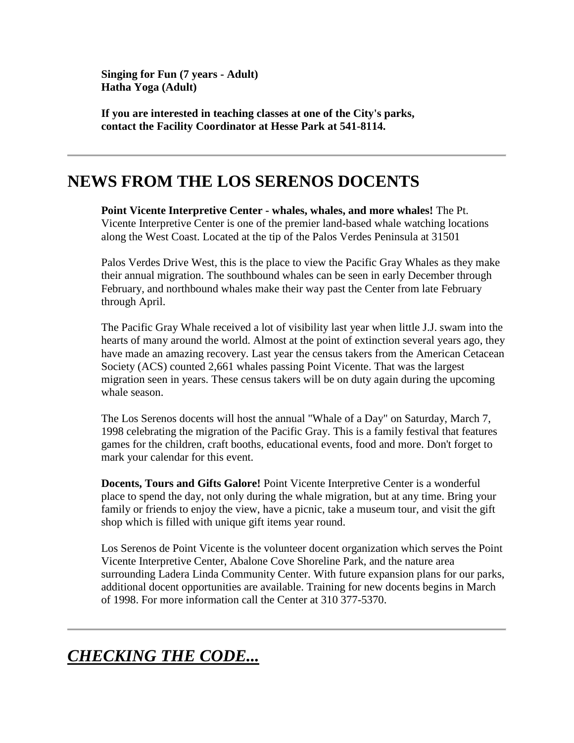**Singing for Fun (7 years - Adult) Hatha Yoga (Adult)**

**If you are interested in teaching classes at one of the City's parks, contact the Facility Coordinator at Hesse Park at 541-8114.**

### **NEWS FROM THE LOS SERENOS DOCENTS**

**Point Vicente Interpretive Center - whales, whales, and more whales!** The Pt. Vicente Interpretive Center is one of the premier land-based whale watching locations along the West Coast. Located at the tip of the Palos Verdes Peninsula at 31501

Palos Verdes Drive West, this is the place to view the Pacific Gray Whales as they make their annual migration. The southbound whales can be seen in early December through February, and northbound whales make their way past the Center from late February through April.

The Pacific Gray Whale received a lot of visibility last year when little J.J. swam into the hearts of many around the world. Almost at the point of extinction several years ago, they have made an amazing recovery. Last year the census takers from the American Cetacean Society (ACS) counted 2,661 whales passing Point Vicente. That was the largest migration seen in years. These census takers will be on duty again during the upcoming whale season.

The Los Serenos docents will host the annual "Whale of a Day" on Saturday, March 7, 1998 celebrating the migration of the Pacific Gray. This is a family festival that features games for the children, craft booths, educational events, food and more. Don't forget to mark your calendar for this event.

**Docents, Tours and Gifts Galore!** Point Vicente Interpretive Center is a wonderful place to spend the day, not only during the whale migration, but at any time. Bring your family or friends to enjoy the view, have a picnic, take a museum tour, and visit the gift shop which is filled with unique gift items year round.

Los Serenos de Point Vicente is the volunteer docent organization which serves the Point Vicente Interpretive Center, Abalone Cove Shoreline Park, and the nature area surrounding Ladera Linda Community Center. With future expansion plans for our parks, additional docent opportunities are available. Training for new docents begins in March of 1998. For more information call the Center at 310 377-5370.

```
CHECKING THE CODE...
```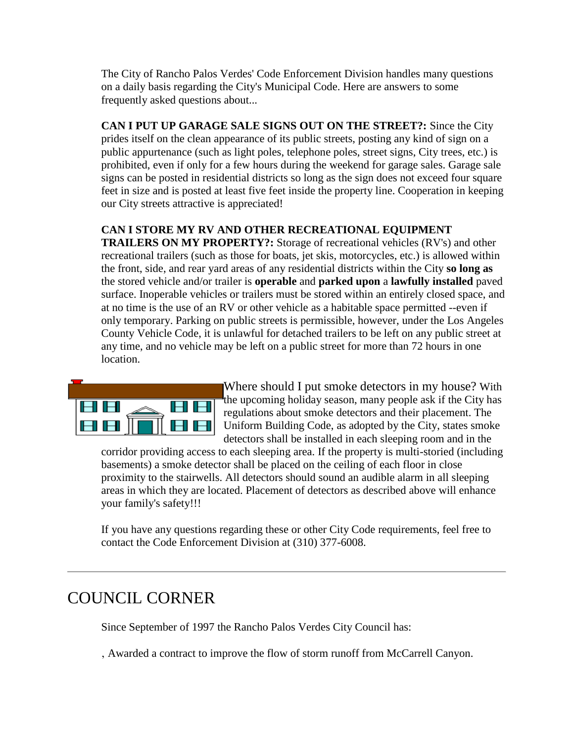The City of Rancho Palos Verdes' Code Enforcement Division handles many questions on a daily basis regarding the City's Municipal Code. Here are answers to some frequently asked questions about...

**CAN I PUT UP GARAGE SALE SIGNS OUT ON THE STREET?:** Since the City

prides itself on the clean appearance of its public streets, posting any kind of sign on a public appurtenance (such as light poles, telephone poles, street signs, City trees, etc.) is prohibited, even if only for a few hours during the weekend for garage sales. Garage sale signs can be posted in residential districts so long as the sign does not exceed four square feet in size and is posted at least five feet inside the property line. Cooperation in keeping our City streets attractive is appreciated!

#### **CAN I STORE MY RV AND OTHER RECREATIONAL EQUIPMENT**

**TRAILERS ON MY PROPERTY?:** Storage of recreational vehicles (RV's) and other recreational trailers (such as those for boats, jet skis, motorcycles, etc.) is allowed within the front, side, and rear yard areas of any residential districts within the City **so long as** the stored vehicle and/or trailer is **operable** and **parked upon** a **lawfully installed** paved surface. Inoperable vehicles or trailers must be stored within an entirely closed space, and at no time is the use of an RV or other vehicle as a habitable space permitted --even if only temporary. Parking on public streets is permissible, however, under the Los Angeles County Vehicle Code, it is unlawful for detached trailers to be left on any public street at any time, and no vehicle may be left on a public street for more than 72 hours in one location.



Where should I put smoke detectors in my house? With the upcoming holiday season, many people ask if the City has regulations about smoke detectors and their placement. The Uniform Building Code, as adopted by the City, states smoke detectors shall be installed in each sleeping room and in the

corridor providing access to each sleeping area. If the property is multi-storied (including basements) a smoke detector shall be placed on the ceiling of each floor in close proximity to the stairwells. All detectors should sound an audible alarm in all sleeping areas in which they are located. Placement of detectors as described above will enhance your family's safety!!!

If you have any questions regarding these or other City Code requirements, feel free to contact the Code Enforcement Division at (310) 377-6008.

### COUNCIL CORNER

Since September of 1997 the Rancho Palos Verdes City Council has:

, Awarded a contract to improve the flow of storm runoff from McCarrell Canyon.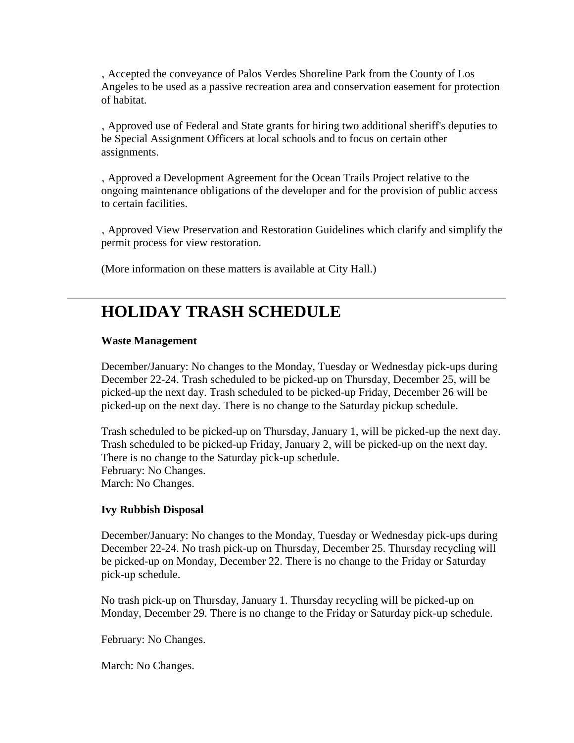' Accepted the conveyance of Palos Verdes Shoreline Park from the County of Los Angeles to be used as a passive recreation area and conservation easement for protection of habitat.

' Approved use of Federal and State grants for hiring two additional sheriff's deputies to be Special Assignment Officers at local schools and to focus on certain other assignments.

' Approved a Development Agreement for the Ocean Trails Project relative to the ongoing maintenance obligations of the developer and for the provision of public access to certain facilities.

' Approved View Preservation and Restoration Guidelines which clarify and simplify the permit process for view restoration.

(More information on these matters is available at City Hall.)

### **HOLIDAY TRASH SCHEDULE**

#### **Waste Management**

December/January: No changes to the Monday, Tuesday or Wednesday pick-ups during December 22-24. Trash scheduled to be picked-up on Thursday, December 25, will be picked-up the next day. Trash scheduled to be picked-up Friday, December 26 will be picked-up on the next day. There is no change to the Saturday pickup schedule.

Trash scheduled to be picked-up on Thursday, January 1, will be picked-up the next day. Trash scheduled to be picked-up Friday, January 2, will be picked-up on the next day. There is no change to the Saturday pick-up schedule. February: No Changes. March: No Changes.

#### **Ivy Rubbish Disposal**

December/January: No changes to the Monday, Tuesday or Wednesday pick-ups during December 22-24. No trash pick-up on Thursday, December 25. Thursday recycling will be picked-up on Monday, December 22. There is no change to the Friday or Saturday pick-up schedule.

No trash pick-up on Thursday, January 1. Thursday recycling will be picked-up on Monday, December 29. There is no change to the Friday or Saturday pick-up schedule.

February: No Changes.

March: No Changes.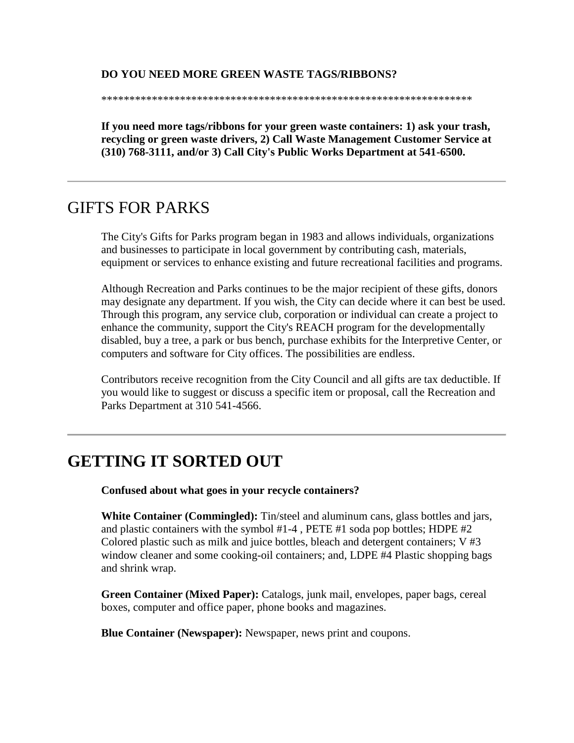#### **DO YOU NEED MORE GREEN WASTE TAGS/RIBBONS?**

\*\*\*\*\*\*\*\*\*\*\*\*\*\*\*\*\*\*\*\*\*\*\*\*\*\*\*\*\*\*\*\*\*\*\*\*\*\*\*\*\*\*\*\*\*\*\*\*\*\*\*\*\*\*\*\*\*\*\*\*\*\*\*\*\*\*

**If you need more tags/ribbons for your green waste containers: 1) ask your trash, recycling or green waste drivers, 2) Call Waste Management Customer Service at (310) 768-3111, and/or 3) Call City's Public Works Department at 541-6500.**

### GIFTS FOR PARKS

The City's Gifts for Parks program began in 1983 and allows individuals, organizations and businesses to participate in local government by contributing cash, materials, equipment or services to enhance existing and future recreational facilities and programs.

Although Recreation and Parks continues to be the major recipient of these gifts, donors may designate any department. If you wish, the City can decide where it can best be used. Through this program, any service club, corporation or individual can create a project to enhance the community, support the City's REACH program for the developmentally disabled, buy a tree, a park or bus bench, purchase exhibits for the Interpretive Center, or computers and software for City offices. The possibilities are endless.

Contributors receive recognition from the City Council and all gifts are tax deductible. If you would like to suggest or discuss a specific item or proposal, call the Recreation and Parks Department at 310 541-4566.

### **GETTING IT SORTED OUT**

**Confused about what goes in your recycle containers?**

**White Container (Commingled):** Tin/steel and aluminum cans, glass bottles and jars, and plastic containers with the symbol #1-4 , PETE #1 soda pop bottles; HDPE #2 Colored plastic such as milk and juice bottles, bleach and detergent containers; V #3 window cleaner and some cooking-oil containers; and, LDPE #4 Plastic shopping bags and shrink wrap.

**Green Container (Mixed Paper):** Catalogs, junk mail, envelopes, paper bags, cereal boxes, computer and office paper, phone books and magazines.

**Blue Container (Newspaper):** Newspaper, news print and coupons.